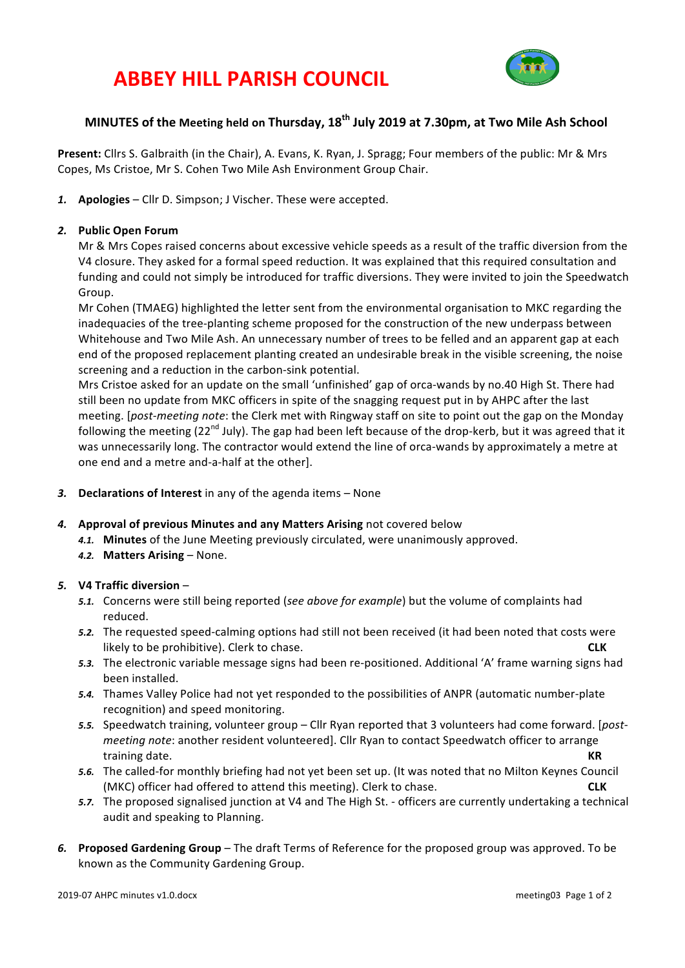# **ABBEY HILL PARISH COUNCIL**



# **MINUTES** of the Meeting held on Thursday, 18<sup>th</sup> July 2019 at 7.30pm, at Two Mile Ash School

**Present:** Cllrs S. Galbraith (in the Chair), A. Evans, K. Ryan, J. Spragg; Four members of the public: Mr & Mrs Copes, Ms Cristoe, Mr S. Cohen Two Mile Ash Environment Group Chair.

1. **Apologies** – Cllr D. Simpson; J Vischer. These were accepted.

#### *2.* **Public Open Forum**

Mr & Mrs Copes raised concerns about excessive vehicle speeds as a result of the traffic diversion from the V4 closure. They asked for a formal speed reduction. It was explained that this required consultation and funding and could not simply be introduced for traffic diversions. They were invited to join the Speedwatch Group.

Mr Cohen (TMAEG) highlighted the letter sent from the environmental organisation to MKC regarding the inadequacies of the tree-planting scheme proposed for the construction of the new underpass between Whitehouse and Two Mile Ash. An unnecessary number of trees to be felled and an apparent gap at each end of the proposed replacement planting created an undesirable break in the visible screening, the noise screening and a reduction in the carbon-sink potential.

Mrs Cristoe asked for an update on the small 'unfinished' gap of orca-wands by no.40 High St. There had still been no update from MKC officers in spite of the snagging request put in by AHPC after the last meeting. *[post-meeting note:* the Clerk met with Ringway staff on site to point out the gap on the Monday following the meeting  $(22^{nd}$  July). The gap had been left because of the drop-kerb, but it was agreed that it was unnecessarily long. The contractor would extend the line of orca-wands by approximately a metre at one end and a metre and-a-half at the other].

- 3. **Declarations of Interest** in any of the agenda items None
- 4. **Approval of previous Minutes and any Matters Arising** not covered below
	- 4.1. Minutes of the June Meeting previously circulated, were unanimously approved.
	- **4.2. Matters Arising None.**

#### *5.* **V4 Traffic diversion** –

- 5.1. Concerns were still being reported (*see above for example*) but the volume of complaints had reduced.
- 5.2. The requested speed-calming options had still not been received (it had been noted that costs were likely to be prohibitive). Clerk to chase. **CLK**
- 5.3. The electronic variable message signs had been re-positioned. Additional 'A' frame warning signs had been installed.
- 5.4. Thames Valley Police had not yet responded to the possibilities of ANPR (automatic number-plate recognition) and speed monitoring.
- 5.5. Speedwatch training, volunteer group Cllr Ryan reported that 3 volunteers had come forward. [*postmeeting note*: another resident volunteered]. Cllr Ryan to contact Speedwatch officer to arrange training date. **KR**
- 5.6. The called-for monthly briefing had not yet been set up. (It was noted that no Milton Keynes Council (MKC) officer had offered to attend this meeting). Clerk to chase. **CLK**
- 5.7. The proposed signalised junction at V4 and The High St. officers are currently undertaking a technical audit and speaking to Planning.
- 6. Proposed Gardening Group The draft Terms of Reference for the proposed group was approved. To be known as the Community Gardening Group.